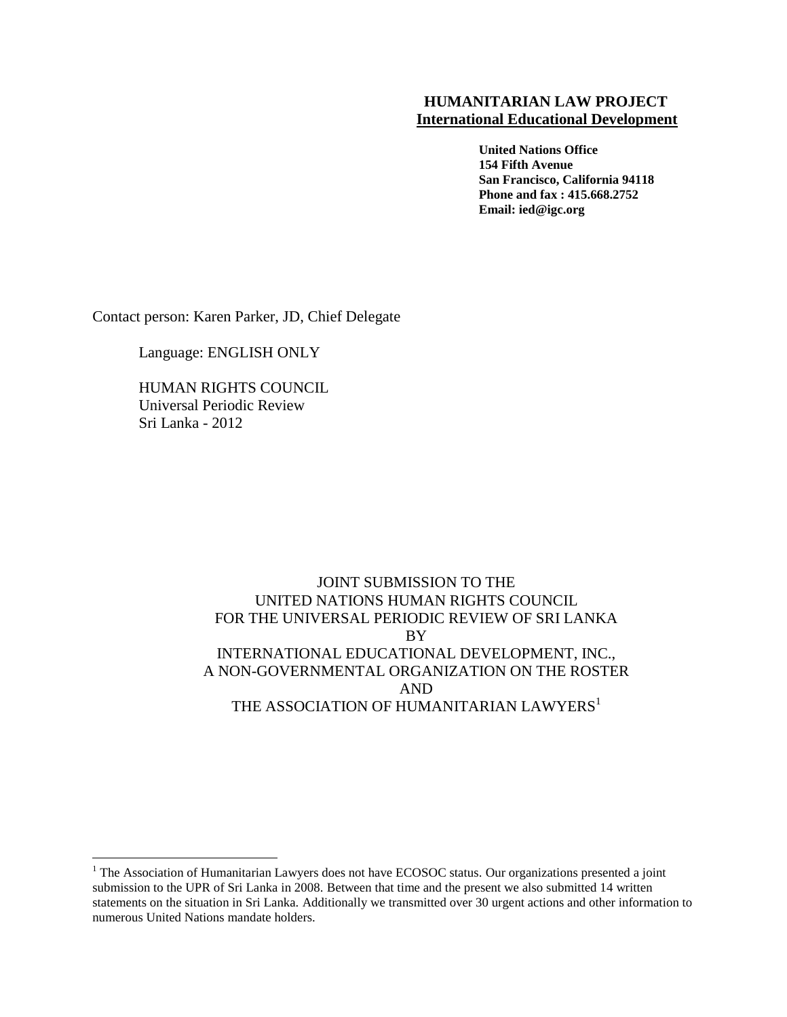#### **HUMANITARIAN LAW PROJECT International Educational Development**

 **United Nations Office 154 Fifth Avenue San Francisco, California 94118 Phone and fax : 415.668.2752 Email: ied@igc.org** 

Contact person: Karen Parker, JD, Chief Delegate

Language: ENGLISH ONLY

HUMAN RIGHTS COUNCIL Universal Periodic Review Sri Lanka - 2012

 $\overline{a}$ 

### JOINT SUBMISSION TO THE UNITED NATIONS HUMAN RIGHTS COUNCIL FOR THE UNIVERSAL PERIODIC REVIEW OF SRI LANKA BY INTERNATIONAL EDUCATIONAL DEVELOPMENT, INC., A NON-GOVERNMENTAL ORGANIZATION ON THE ROSTER AND THE ASSOCIATION OF HUMANITARIAN LAWYERS<sup>1</sup>

<sup>&</sup>lt;sup>1</sup> The Association of Humanitarian Lawyers does not have ECOSOC status. Our organizations presented a joint submission to the UPR of Sri Lanka in 2008. Between that time and the present we also submitted 14 written statements on the situation in Sri Lanka. Additionally we transmitted over 30 urgent actions and other information to numerous United Nations mandate holders.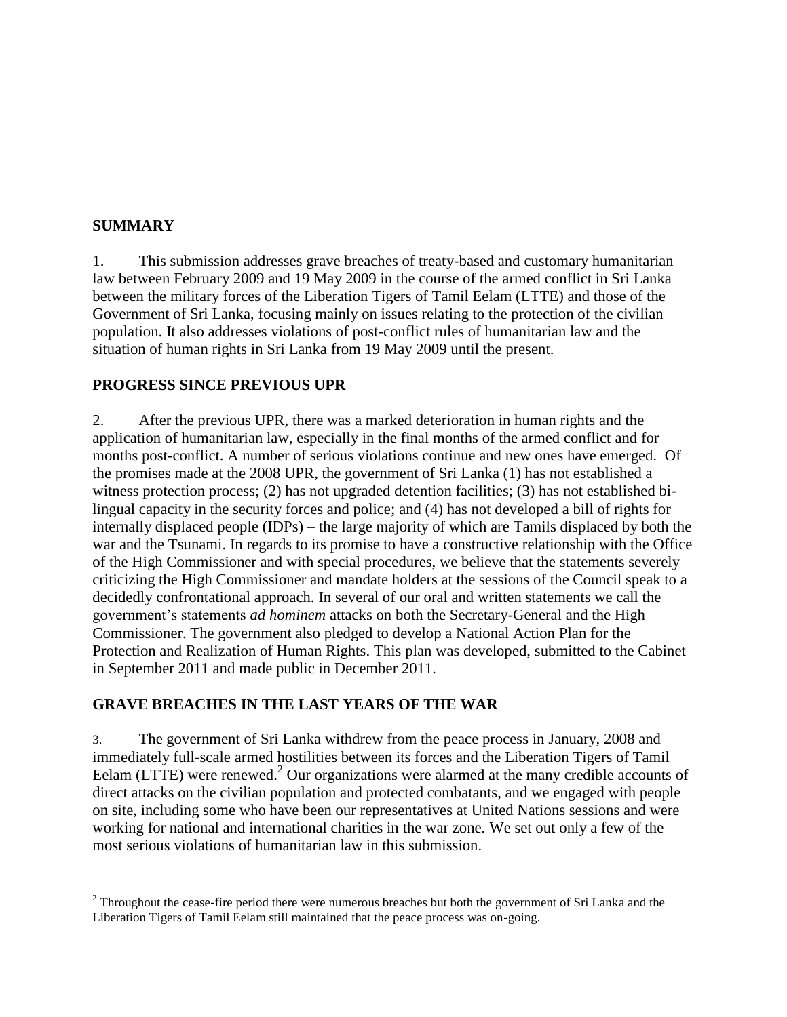### **SUMMARY**

 $\overline{a}$ 

1. This submission addresses grave breaches of treaty-based and customary humanitarian law between February 2009 and 19 May 2009 in the course of the armed conflict in Sri Lanka between the military forces of the Liberation Tigers of Tamil Eelam (LTTE) and those of the Government of Sri Lanka, focusing mainly on issues relating to the protection of the civilian population. It also addresses violations of post-conflict rules of humanitarian law and the situation of human rights in Sri Lanka from 19 May 2009 until the present.

#### **PROGRESS SINCE PREVIOUS UPR**

2. After the previous UPR, there was a marked deterioration in human rights and the application of humanitarian law, especially in the final months of the armed conflict and for months post-conflict. A number of serious violations continue and new ones have emerged. Of the promises made at the 2008 UPR, the government of Sri Lanka (1) has not established a witness protection process; (2) has not upgraded detention facilities; (3) has not established bilingual capacity in the security forces and police; and (4) has not developed a bill of rights for internally displaced people (IDPs) – the large majority of which are Tamils displaced by both the war and the Tsunami. In regards to its promise to have a constructive relationship with the Office of the High Commissioner and with special procedures, we believe that the statements severely criticizing the High Commissioner and mandate holders at the sessions of the Council speak to a decidedly confrontational approach. In several of our oral and written statements we call the government's statements *ad hominem* attacks on both the Secretary-General and the High Commissioner. The government also pledged to develop a National Action Plan for the Protection and Realization of Human Rights. This plan was developed, submitted to the Cabinet in September 2011 and made public in December 2011.

### **GRAVE BREACHES IN THE LAST YEARS OF THE WAR**

3. The government of Sri Lanka withdrew from the peace process in January, 2008 and immediately full-scale armed hostilities between its forces and the Liberation Tigers of Tamil Eelam (LTTE) were renewed.<sup>2</sup> Our organizations were alarmed at the many credible accounts of direct attacks on the civilian population and protected combatants, and we engaged with people on site, including some who have been our representatives at United Nations sessions and were working for national and international charities in the war zone. We set out only a few of the most serious violations of humanitarian law in this submission.

 $2^2$  Throughout the cease-fire period there were numerous breaches but both the government of Sri Lanka and the Liberation Tigers of Tamil Eelam still maintained that the peace process was on-going.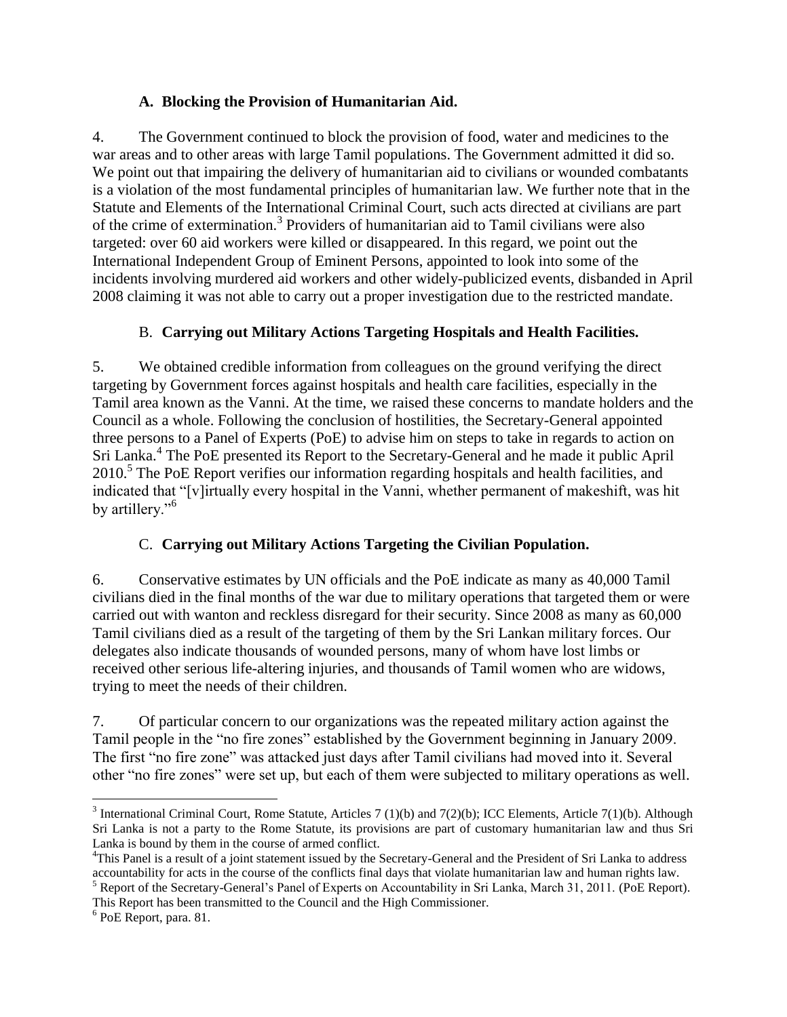### **A. Blocking the Provision of Humanitarian Aid.**

4. The Government continued to block the provision of food, water and medicines to the war areas and to other areas with large Tamil populations. The Government admitted it did so. We point out that impairing the delivery of humanitarian aid to civilians or wounded combatants is a violation of the most fundamental principles of humanitarian law. We further note that in the Statute and Elements of the International Criminal Court, such acts directed at civilians are part of the crime of extermination.<sup>3</sup> Providers of humanitarian aid to Tamil civilians were also targeted: over 60 aid workers were killed or disappeared. In this regard, we point out the International Independent Group of Eminent Persons, appointed to look into some of the incidents involving murdered aid workers and other widely-publicized events, disbanded in April 2008 claiming it was not able to carry out a proper investigation due to the restricted mandate.

### B. **Carrying out Military Actions Targeting Hospitals and Health Facilities.**

5. We obtained credible information from colleagues on the ground verifying the direct targeting by Government forces against hospitals and health care facilities, especially in the Tamil area known as the Vanni. At the time, we raised these concerns to mandate holders and the Council as a whole. Following the conclusion of hostilities, the Secretary-General appointed three persons to a Panel of Experts (PoE) to advise him on steps to take in regards to action on Sri Lanka.<sup>4</sup> The PoE presented its Report to the Secretary-General and he made it public April 2010.<sup>5</sup> The PoE Report verifies our information regarding hospitals and health facilities, and indicated that "[v]irtually every hospital in the Vanni, whether permanent of makeshift, was hit by artillery."<sup>6</sup>

## C. **Carrying out Military Actions Targeting the Civilian Population.**

6. Conservative estimates by UN officials and the PoE indicate as many as 40,000 Tamil civilians died in the final months of the war due to military operations that targeted them or were carried out with wanton and reckless disregard for their security. Since 2008 as many as 60,000 Tamil civilians died as a result of the targeting of them by the Sri Lankan military forces. Our delegates also indicate thousands of wounded persons, many of whom have lost limbs or received other serious life-altering injuries, and thousands of Tamil women who are widows, trying to meet the needs of their children.

7. Of particular concern to our organizations was the repeated military action against the Tamil people in the "no fire zones" established by the Government beginning in January 2009. The first "no fire zone" was attacked just days after Tamil civilians had moved into it. Several other "no fire zones" were set up, but each of them were subjected to military operations as well.

 $\overline{a}$ 

<sup>&</sup>lt;sup>3</sup> International Criminal Court, Rome Statute, Articles 7 (1)(b) and 7(2)(b); ICC Elements, Article 7(1)(b). Although Sri Lanka is not a party to the Rome Statute, its provisions are part of customary humanitarian law and thus Sri Lanka is bound by them in the course of armed conflict.

<sup>&</sup>lt;sup>4</sup>This Panel is a result of a joint statement issued by the Secretary-General and the President of Sri Lanka to address accountability for acts in the course of the conflicts final days that violate humanitarian law and human rights law. <sup>5</sup> Report of the Secretary-General's Panel of Experts on Accountability in Sri Lanka, March 31, 2011. (PoE Report).

This Report has been transmitted to the Council and the High Commissioner.

<sup>6</sup> PoE Report, para. 81.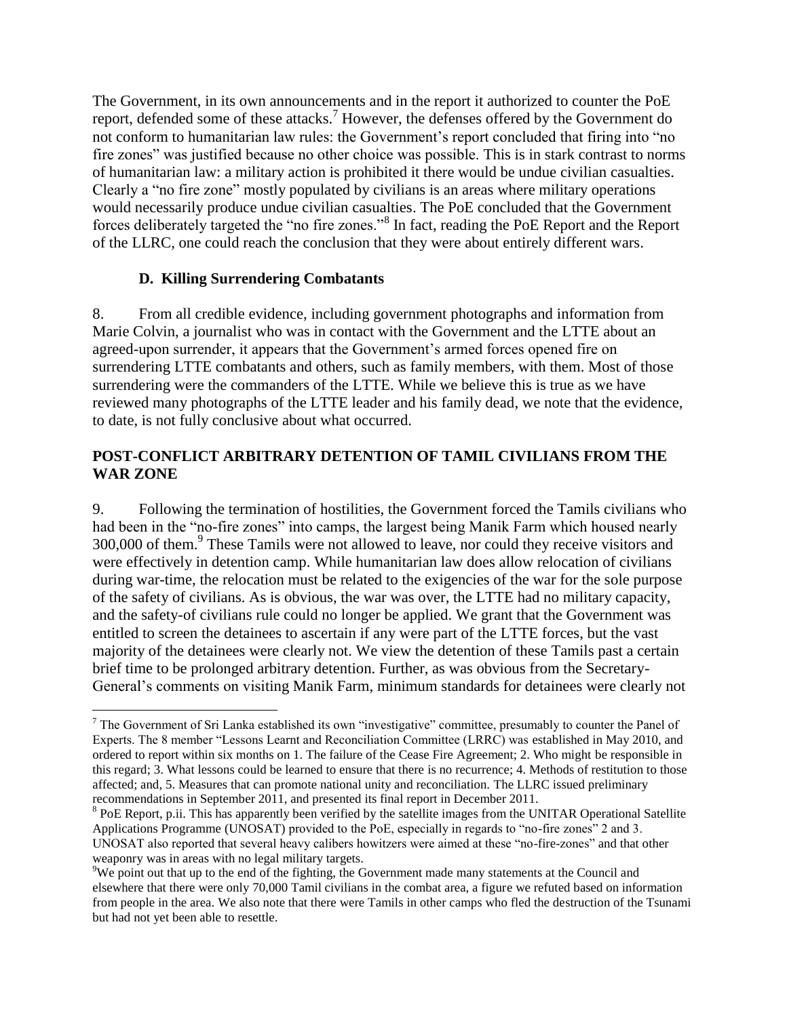The Government, in its own announcements and in the report it authorized to counter the PoE report, defended some of these attacks.<sup>7</sup> However, the defenses offered by the Government do not conform to humanitarian law rules: the Government's report concluded that firing into "no fire zones" was justified because no other choice was possible. This is in stark contrast to norms of humanitarian law: a military action is prohibited it there would be undue civilian casualties. Clearly a "no fire zone" mostly populated by civilians is an areas where military operations would necessarily produce undue civilian casualties. The PoE concluded that the Government forces deliberately targeted the "no fire zones."<sup>8</sup> In fact, reading the PoE Report and the Report of the LLRC, one could reach the conclusion that they were about entirely different wars.

### **D. Killing Surrendering Combatants**

 $\overline{a}$ 

8. From all credible evidence, including government photographs and information from Marie Colvin, a journalist who was in contact with the Government and the LTTE about an agreed-upon surrender, it appears that the Government's armed forces opened fire on surrendering LTTE combatants and others, such as family members, with them. Most of those surrendering were the commanders of the LTTE. While we believe this is true as we have reviewed many photographs of the LTTE leader and his family dead, we note that the evidence, to date, is not fully conclusive about what occurred.

### **POST-CONFLICT ARBITRARY DETENTION OF TAMIL CIVILIANS FROM THE WAR ZONE**

9. Following the termination of hostilities, the Government forced the Tamils civilians who had been in the "no-fire zones" into camps, the largest being Manik Farm which housed nearly 300,000 of them.<sup>9</sup> These Tamils were not allowed to leave, nor could they receive visitors and were effectively in detention camp. While humanitarian law does allow relocation of civilians during war-time, the relocation must be related to the exigencies of the war for the sole purpose of the safety of civilians. As is obvious, the war was over, the LTTE had no military capacity, and the safety-of civilians rule could no longer be applied. We grant that the Government was entitled to screen the detainees to ascertain if any were part of the LTTE forces, but the vast majority of the detainees were clearly not. We view the detention of these Tamils past a certain brief time to be prolonged arbitrary detention. Further, as was obvious from the Secretary-General's comments on visiting Manik Farm, minimum standards for detainees were clearly not

 $<sup>7</sup>$  The Government of Sri Lanka established its own "investigative" committee, presumably to counter the Panel of</sup> Experts. The 8 member "Lessons Learnt and Reconciliation Committee (LRRC) was established in May 2010, and ordered to report within six months on 1. The failure of the Cease Fire Agreement; 2. Who might be responsible in this regard; 3. What lessons could be learned to ensure that there is no recurrence; 4. Methods of restitution to those affected; and, 5. Measures that can promote national unity and reconciliation. The LLRC issued preliminary recommendations in September 2011, and presented its final report in December 2011.

<sup>&</sup>lt;sup>8</sup> PoE Report, p.ii. This has apparently been verified by the satellite images from the UNITAR Operational Satellite Applications Programme (UNOSAT) provided to the PoE, especially in regards to "no-fire zones" 2 and 3. UNOSAT also reported that several heavy calibers howitzers were aimed at these "no-fire-zones" and that other weaponry was in areas with no legal military targets.

 $9W$ e point out that up to the end of the fighting, the Government made many statements at the Council and elsewhere that there were only 70,000 Tamil civilians in the combat area, a figure we refuted based on information from people in the area. We also note that there were Tamils in other camps who fled the destruction of the Tsunami but had not yet been able to resettle.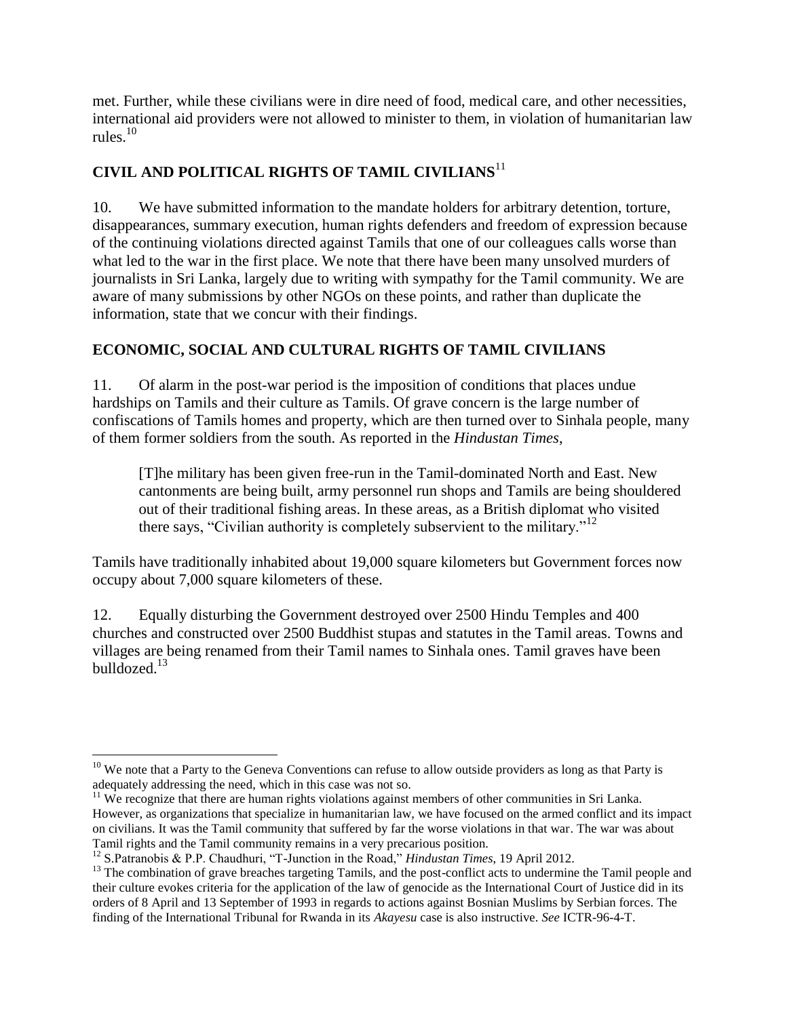met. Further, while these civilians were in dire need of food, medical care, and other necessities, international aid providers were not allowed to minister to them, in violation of humanitarian law rules. $10$ 

# **CIVIL AND POLITICAL RIGHTS OF TAMIL CIVILIANS**<sup>11</sup>

10. We have submitted information to the mandate holders for arbitrary detention, torture, disappearances, summary execution, human rights defenders and freedom of expression because of the continuing violations directed against Tamils that one of our colleagues calls worse than what led to the war in the first place. We note that there have been many unsolved murders of journalists in Sri Lanka, largely due to writing with sympathy for the Tamil community. We are aware of many submissions by other NGOs on these points, and rather than duplicate the information, state that we concur with their findings.

### **ECONOMIC, SOCIAL AND CULTURAL RIGHTS OF TAMIL CIVILIANS**

11. Of alarm in the post-war period is the imposition of conditions that places undue hardships on Tamils and their culture as Tamils. Of grave concern is the large number of confiscations of Tamils homes and property, which are then turned over to Sinhala people, many of them former soldiers from the south. As reported in the *Hindustan Times*,

[T]he military has been given free-run in the Tamil-dominated North and East. New cantonments are being built, army personnel run shops and Tamils are being shouldered out of their traditional fishing areas. In these areas, as a British diplomat who visited there says, "Civilian authority is completely subservient to the military."<sup>12</sup>

Tamils have traditionally inhabited about 19,000 square kilometers but Government forces now occupy about 7,000 square kilometers of these.

12. Equally disturbing the Government destroyed over 2500 Hindu Temples and 400 churches and constructed over 2500 Buddhist stupas and statutes in the Tamil areas. Towns and villages are being renamed from their Tamil names to Sinhala ones. Tamil graves have been bulldozed.<sup>13</sup>

 $\overline{a}$  $10$  We note that a Party to the Geneva Conventions can refuse to allow outside providers as long as that Party is adequately addressing the need, which in this case was not so.

 $11$  We recognize that there are human rights violations against members of other communities in Sri Lanka. However, as organizations that specialize in humanitarian law, we have focused on the armed conflict and its impact on civilians. It was the Tamil community that suffered by far the worse violations in that war. The war was about Tamil rights and the Tamil community remains in a very precarious position.

<sup>12</sup> S.Patranobis & P.P. Chaudhuri, "T-Junction in the Road," *Hindustan Times*, 19 April 2012.

<sup>&</sup>lt;sup>13</sup> The combination of grave breaches targeting Tamils, and the post-conflict acts to undermine the Tamil people and their culture evokes criteria for the application of the law of genocide as the International Court of Justice did in its orders of 8 April and 13 September of 1993 in regards to actions against Bosnian Muslims by Serbian forces. The finding of the International Tribunal for Rwanda in its *Akayesu* case is also instructive. *See* ICTR-96-4-T.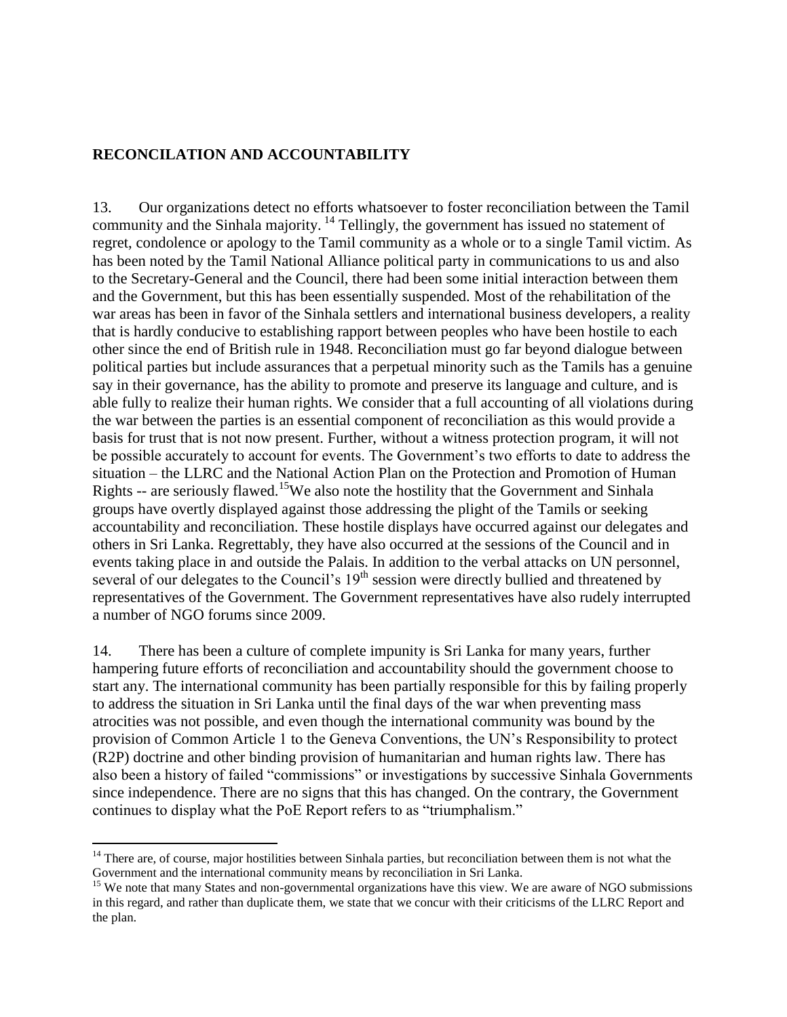### **RECONCILATION AND ACCOUNTABILITY**

13. Our organizations detect no efforts whatsoever to foster reconciliation between the Tamil community and the Sinhala majority. <sup>14</sup> Tellingly, the government has issued no statement of regret, condolence or apology to the Tamil community as a whole or to a single Tamil victim. As has been noted by the Tamil National Alliance political party in communications to us and also to the Secretary-General and the Council, there had been some initial interaction between them and the Government, but this has been essentially suspended. Most of the rehabilitation of the war areas has been in favor of the Sinhala settlers and international business developers, a reality that is hardly conducive to establishing rapport between peoples who have been hostile to each other since the end of British rule in 1948. Reconciliation must go far beyond dialogue between political parties but include assurances that a perpetual minority such as the Tamils has a genuine say in their governance, has the ability to promote and preserve its language and culture, and is able fully to realize their human rights. We consider that a full accounting of all violations during the war between the parties is an essential component of reconciliation as this would provide a basis for trust that is not now present. Further, without a witness protection program, it will not be possible accurately to account for events. The Government's two efforts to date to address the situation – the LLRC and the National Action Plan on the Protection and Promotion of Human Rights -- are seriously flawed.<sup>15</sup>We also note the hostility that the Government and Sinhala groups have overtly displayed against those addressing the plight of the Tamils or seeking accountability and reconciliation. These hostile displays have occurred against our delegates and others in Sri Lanka. Regrettably, they have also occurred at the sessions of the Council and in events taking place in and outside the Palais. In addition to the verbal attacks on UN personnel, several of our delegates to the Council's  $19<sup>th</sup>$  session were directly bullied and threatened by representatives of the Government. The Government representatives have also rudely interrupted a number of NGO forums since 2009.

14. There has been a culture of complete impunity is Sri Lanka for many years, further hampering future efforts of reconciliation and accountability should the government choose to start any. The international community has been partially responsible for this by failing properly to address the situation in Sri Lanka until the final days of the war when preventing mass atrocities was not possible, and even though the international community was bound by the provision of Common Article 1 to the Geneva Conventions, the UN's Responsibility to protect (R2P) doctrine and other binding provision of humanitarian and human rights law. There has also been a history of failed "commissions" or investigations by successive Sinhala Governments since independence. There are no signs that this has changed. On the contrary, the Government continues to display what the PoE Report refers to as "triumphalism."

 $\overline{a}$ 

 $14$  There are, of course, major hostilities between Sinhala parties, but reconciliation between them is not what the Government and the international community means by reconciliation in Sri Lanka.

<sup>&</sup>lt;sup>15</sup> We note that many States and non-governmental organizations have this view. We are aware of NGO submissions in this regard, and rather than duplicate them, we state that we concur with their criticisms of the LLRC Report and the plan.